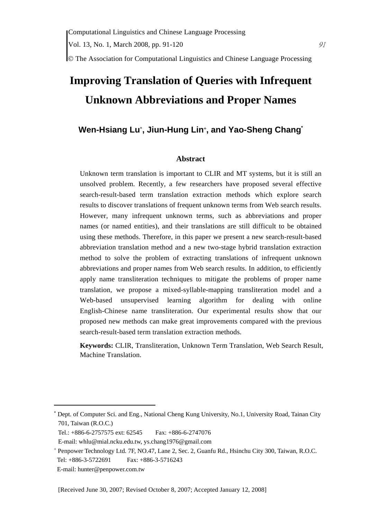© The Association for Computational Linguistics and Chinese Language Processing

# **Improving Translation of Queries with Infrequent Unknown Abbreviations and Proper Names**

# **Wen-Hsiang Lu**<sup>∗</sup> **, Jiun-Hung Lin**<sup>+</sup> **, and Yao-Sheng Chang\***

#### **Abstract**

Unknown term translation is important to CLIR and MT systems, but it is still an unsolved problem. Recently, a few researchers have proposed several effective search-result-based term translation extraction methods which explore search results to discover translations of frequent unknown terms from Web search results. However, many infrequent unknown terms, such as abbreviations and proper names (or named entities), and their translations are still difficult to be obtained using these methods. Therefore, in this paper we present a new search-result-based abbreviation translation method and a new two-stage hybrid translation extraction method to solve the problem of extracting translations of infrequent unknown abbreviations and proper names from Web search results. In addition, to efficiently apply name transliteration techniques to mitigate the problems of proper name translation, we propose a mixed-syllable-mapping transliteration model and a Web-based unsupervised learning algorithm for dealing with online English-Chinese name transliteration. Our experimental results show that our proposed new methods can make great improvements compared with the previous search-result-based term translation extraction methods.

**Keywords:** CLIR, Transliteration, Unknown Term Translation, Web Search Result, Machine Translation.

 $\overline{a}$ 

<sup>∗</sup> Dept. of Computer Sci. and Eng., National Cheng Kung University, No.1, University Road, Tainan City 701, Taiwan (R.O.C.)

Tel.: +886-6-2757575 ext: 62545 Fax: +886-6-2747076

E-mail: whlu@mial.ncku.edu.tw, ys.chang1976@gmail.com

<sup>+</sup> Penpower Technology Ltd. 7F, NO.47, Lane 2, Sec. 2, Guanfu Rd., Hsinchu City 300, Taiwan, R.O.C. Tel: +886-3-5722691 Fax: +886-3-5716243

E-mail: hunter@penpower.com.tw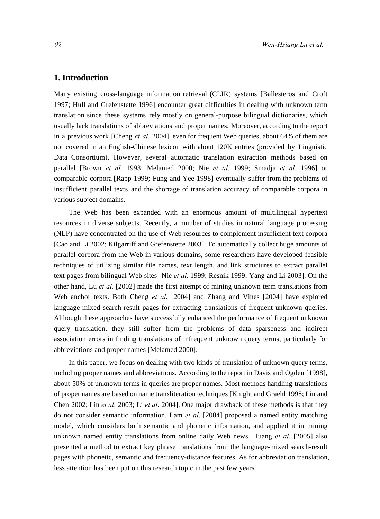## **1. Introduction**

Many existing cross-language information retrieval (CLIR) systems [Ballesteros and Croft 1997; Hull and Grefenstette 1996] encounter great difficulties in dealing with unknown term translation since these systems rely mostly on general-purpose bilingual dictionaries, which usually lack translations of abbreviations and proper names. Moreover, according to the report in a previous work [Cheng *et al*. 2004], even for frequent Web queries, about 64% of them are not covered in an English-Chinese lexicon with about 120K entries (provided by Linguistic Data Consortium). However, several automatic translation extraction methods based on parallel [Brown *et al*. 1993; Melamed 2000; Nie *et al*. 1999; Smadja *et al*. 1996] or comparable corpora [Rapp 1999; Fung and Yee 1998] eventually suffer from the problems of insufficient parallel texts and the shortage of translation accuracy of comparable corpora in various subject domains.

The Web has been expanded with an enormous amount of multilingual hypertext resources in diverse subjects. Recently, a number of studies in natural language processing (NLP) have concentrated on the use of Web resources to complement insufficient text corpora [Cao and Li 2002; Kilgarriff and Grefenstette 2003]. To automatically collect huge amounts of parallel corpora from the Web in various domains, some researchers have developed feasible techniques of utilizing similar file names, text length, and link structures to extract parallel text pages from bilingual Web sites [Nie *et al*. 1999; Resnik 1999; Yang and Li 2003]. On the other hand, Lu *et al.* [2002] made the first attempt of mining unknown term translations from Web anchor texts. Both Cheng *et al*. [2004] and Zhang and Vines [2004] have explored language-mixed search-result pages for extracting translations of frequent unknown queries. Although these approaches have successfully enhanced the performance of frequent unknown query translation, they still suffer from the problems of data sparseness and indirect association errors in finding translations of infrequent unknown query terms, particularly for abbreviations and proper names [Melamed 2000].

In this paper, we focus on dealing with two kinds of translation of unknown query terms, including proper names and abbreviations. According to the report in Davis and Ogden [1998], about 50% of unknown terms in queries are proper names. Most methods handling translations of proper names are based on name transliteration techniques [Knight and Graehl 1998; Lin and Chen 2002; Lin *et al*. 2003; Li *et al*. 2004]. One major drawback of these methods is that they do not consider semantic information. Lam *et al*. [2004] proposed a named entity matching model, which considers both semantic and phonetic information, and applied it in mining unknown named entity translations from online daily Web news. Huang *et al*. [2005] also presented a method to extract key phrase translations from the language-mixed search-result pages with phonetic, semantic and frequency-distance features. As for abbreviation translation, less attention has been put on this research topic in the past few years.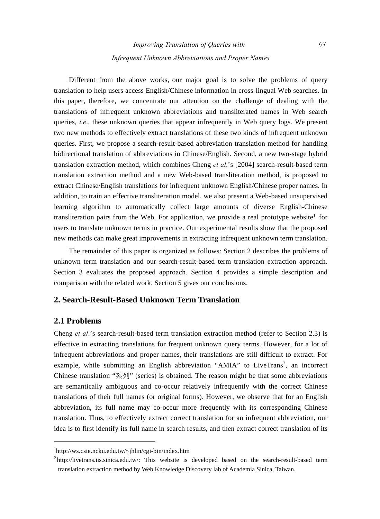Different from the above works, our major goal is to solve the problems of query translation to help users access English/Chinese information in cross-lingual Web searches. In this paper, therefore, we concentrate our attention on the challenge of dealing with the translations of infrequent unknown abbreviations and transliterated names in Web search queries, *i.e*., these unknown queries that appear infrequently in Web query logs. We present two new methods to effectively extract translations of these two kinds of infrequent unknown queries. First, we propose a search-result-based abbreviation translation method for handling bidirectional translation of abbreviations in Chinese/English. Second, a new two-stage hybrid translation extraction method, which combines Cheng *et al*.'s [2004] search-result-based term translation extraction method and a new Web-based transliteration method, is proposed to extract Chinese/English translations for infrequent unknown English/Chinese proper names. In addition, to train an effective transliteration model, we also present a Web-based unsupervised learning algorithm to automatically collect large amounts of diverse English-Chinese transliteration pairs from the Web. For application, we provide a real prototype website<sup>1</sup> for users to translate unknown terms in practice. Our experimental results show that the proposed new methods can make great improvements in extracting infrequent unknown term translation.

The remainder of this paper is organized as follows: Section 2 describes the problems of unknown term translation and our search-result-based term translation extraction approach. Section 3 evaluates the proposed approach. Section 4 provides a simple description and comparison with the related work. Section 5 gives our conclusions.

## **2. Search-Result-Based Unknown Term Translation**

## **2.1 Problems**

 $\overline{a}$ 

Cheng *et al*.'s search-result-based term translation extraction method (refer to Section 2.3) is effective in extracting translations for frequent unknown query terms. However, for a lot of infrequent abbreviations and proper names, their translations are still difficult to extract. For example, while submitting an English abbreviation "AMIA" to LiveTrans<sup>2</sup>, an incorrect Chinese translation "系列" (series) is obtained. The reason might be that some abbreviations are semantically ambiguous and co-occur relatively infrequently with the correct Chinese translations of their full names (or original forms). However, we observe that for an English abbreviation, its full name may co-occur more frequently with its corresponding Chinese translation. Thus, to effectively extract correct translation for an infrequent abbreviation, our idea is to first identify its full name in search results, and then extract correct translation of its

<sup>1</sup> http://ws.csie.ncku.edu.tw/~jhlin/cgi-bin/index.htm

 $2$  http://livetrans.iis.sinica.edu.tw/: This website is developed based on the search-result-based term translation extraction method by Web Knowledge Discovery lab of Academia Sinica, Taiwan.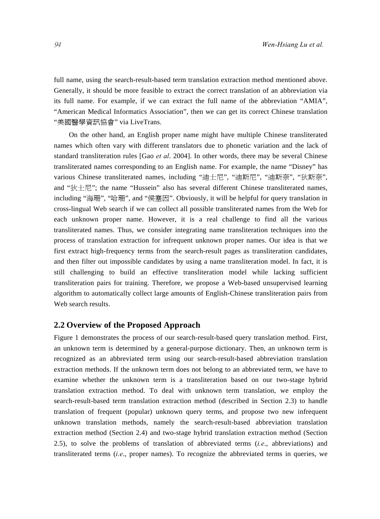full name, using the search-result-based term translation extraction method mentioned above. Generally, it should be more feasible to extract the correct translation of an abbreviation via its full name. For example, if we can extract the full name of the abbreviation "AMIA", "American Medical Informatics Association", then we can get its correct Chinese translation "美國醫學資訊協會" via LiveTrans.

On the other hand, an English proper name might have multiple Chinese transliterated names which often vary with different translators due to phonetic variation and the lack of standard transliteration rules [Gao *et al*. 2004]. In other words, there may be several Chinese transliterated names corresponding to an English name. For example, the name "Disney" has various Chinese transliterated names, including "迪士尼", "迪斯尼", "迪斯奈", "狄斯奈", and "狄士尼"; the name "Hussein" also has several different Chinese transliterated names, including "海珊", "哈珊", and "侯塞因". Obviously, it will be helpful for query translation in cross-lingual Web search if we can collect all possible transliterated names from the Web for each unknown proper name. However, it is a real challenge to find all the various transliterated names. Thus, we consider integrating name transliteration techniques into the process of translation extraction for infrequent unknown proper names. Our idea is that we first extract high-frequency terms from the search-result pages as transliteration candidates, and then filter out impossible candidates by using a name transliteration model. In fact, it is still challenging to build an effective transliteration model while lacking sufficient transliteration pairs for training. Therefore, we propose a Web-based unsupervised learning algorithm to automatically collect large amounts of English-Chinese transliteration pairs from Web search results.

#### **2.2 Overview of the Proposed Approach**

Figure 1 demonstrates the process of our search-result-based query translation method. First, an unknown term is determined by a general-purpose dictionary. Then, an unknown term is recognized as an abbreviated term using our search-result-based abbreviation translation extraction methods. If the unknown term does not belong to an abbreviated term, we have to examine whether the unknown term is a transliteration based on our two-stage hybrid translation extraction method. To deal with unknown term translation, we employ the search-result-based term translation extraction method (described in Section 2.3) to handle translation of frequent (popular) unknown query terms, and propose two new infrequent unknown translation methods, namely the search-result-based abbreviation translation extraction method (Section 2.4) and two-stage hybrid translation extraction method (Section 2.5), to solve the problems of translation of abbreviated terms (*i.e*., abbreviations) and transliterated terms (*i.e*., proper names). To recognize the abbreviated terms in queries, we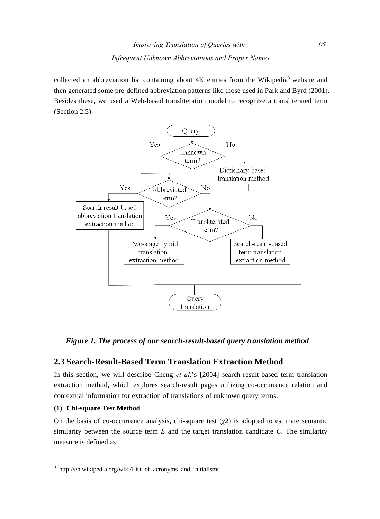collected an abbreviation list containing about  $4K$  entries from the Wikipedia<sup>3</sup> website and then generated some pre-defined abbreviation patterns like those used in Park and Byrd (2001). Besides these, we used a Web-based transliteration model to recognize a transliterated term (Section 2.5).



*Figure 1. The process of our search-result-based query translation method* 

## **2.3 Search-Result-Based Term Translation Extraction Method**

In this section, we will describe Cheng *et al*.'s [2004] search-result-based term translation extraction method, which explores search-result pages utilizing co-occurrence relation and contextual information for extraction of translations of unknown query terms.

#### **(1) Chi-square Test Method**

 $\overline{a}$ 

On the basis of co-occurrence analysis, chi-square test  $(\chi^2)$  is adopted to estimate semantic similarity between the source term *E* and the target translation candidate *C*. The similarity measure is defined as:

<sup>3</sup> http://en.wikipedia.org/wiki/List\_of\_acronyms\_and\_initialisms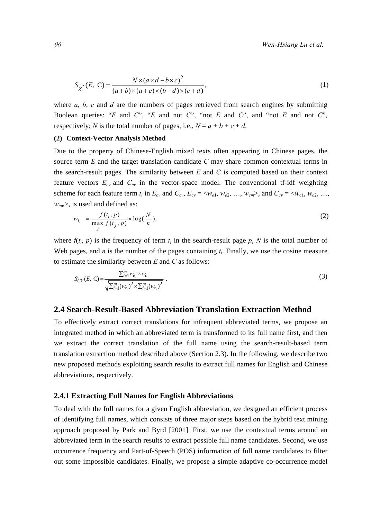$$
S_{\chi^2}(E, C) = \frac{N \times (a \times d - b \times c)^2}{(a+b) \times (a+c) \times (b+d) \times (c+d)},
$$
\n(1)

where *a*, *b*, *c* and *d* are the numbers of pages retrieved from search engines by submitting Boolean queries: "*E* and *C*", "*E* and not *C*", "not *E* and *C*", and "not *E* and not *C*", respectively; *N* is the total number of pages, i.e.,  $N = a + b + c + d$ .

#### **(2) Context-Vector Analysis Method**

Due to the property of Chinese-English mixed texts often appearing in Chinese pages, the source term *E* and the target translation candidate *C* may share common contextual terms in the search-result pages. The similarity between *E* and *C* is computed based on their context feature vectors  $E_{cv}$  and  $C_{cv}$  in the vector-space model. The conventional tf-idf weighting scheme for each feature term  $t_i$  in  $E_{cv}$  and  $C_{cv}$ ,  $E_{cv} = \langle w_{e1}, w_{e2}, \dots, w_{em} \rangle$ , and  $C_{cv} = \langle w_{c1}, w_{c2}, \dots, w_{ca} \rangle$ *w<sub>cm</sub>>*, is used and defined as:

$$
w_{t_i} = \frac{f(t_i, p)}{\max_j f(t_j, p)} \times \log(\frac{N}{n}),\tag{2}
$$

where  $f(t_i, p)$  is the frequency of term  $t_i$  in the search-result page p, N is the total number of Web pages, and *n* is the number of the pages containing  $t_i$ . Finally, we use the cosine measure to estimate the similarity between *E* and *C* as follows:

$$
S_{CV}(E, C) = \frac{\sum_{i=1}^{m} w_{e_i} \times w_{c_i}}{\sqrt{\sum_{i=1}^{m} (w_{e_i})^2 \times \sum_{i=1}^{m} (w_{c_i})^2}}.
$$
\n(3)

## **2.4 Search-Result-Based Abbreviation Translation Extraction Method**

To effectively extract correct translations for infrequent abbreviated terms, we propose an integrated method in which an abbreviated term is transformed to its full name first, and then we extract the correct translation of the full name using the search-result-based term translation extraction method described above (Section 2.3). In the following, we describe two new proposed methods exploiting search results to extract full names for English and Chinese abbreviations, respectively.

#### **2.4.1 Extracting Full Names for English Abbreviations**

To deal with the full names for a given English abbreviation, we designed an efficient process of identifying full names, which consists of three major steps based on the hybrid text mining approach proposed by Park and Byrd [2001]. First, we use the contextual terms around an abbreviated term in the search results to extract possible full name candidates. Second, we use occurrence frequency and Part-of-Speech (POS) information of full name candidates to filter out some impossible candidates. Finally, we propose a simple adaptive co-occurrence model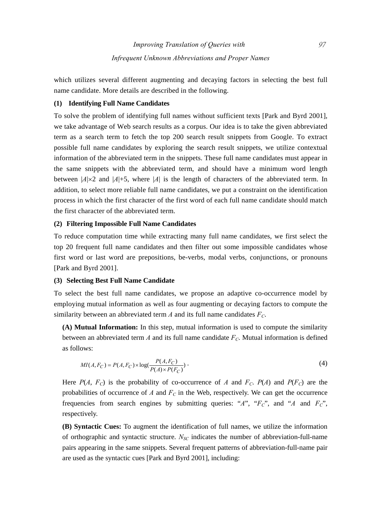which utilizes several different augmenting and decaying factors in selecting the best full name candidate. More details are described in the following.

#### **(1) Identifying Full Name Candidates**

To solve the problem of identifying full names without sufficient texts [Park and Byrd 2001], we take advantage of Web search results as a corpus. Our idea is to take the given abbreviated term as a search term to fetch the top 200 search result snippets from Google. To extract possible full name candidates by exploring the search result snippets, we utilize contextual information of the abbreviated term in the snippets. These full name candidates must appear in the same snippets with the abbreviated term, and should have a minimum word length between  $|A| \times 2$  and  $|A|+5$ , where  $|A|$  is the length of characters of the abbreviated term. In addition, to select more reliable full name candidates, we put a constraint on the identification process in which the first character of the first word of each full name candidate should match the first character of the abbreviated term.

#### **(2) Filtering Impossible Full Name Candidates**

To reduce computation time while extracting many full name candidates, we first select the top 20 frequent full name candidates and then filter out some impossible candidates whose first word or last word are prepositions, be-verbs, modal verbs, conjunctions, or pronouns [Park and Byrd 2001].

#### **(3) Selecting Best Full Name Candidate**

To select the best full name candidates, we propose an adaptive co-occurrence model by employing mutual information as well as four augmenting or decaying factors to compute the similarity between an abbreviated term  $A$  and its full name candidates  $F_C$ .

**(A) Mutual Information:** In this step, mutual information is used to compute the similarity between an abbreviated term  $A$  and its full name candidate  $F_C$ . Mutual information is defined as follows:

$$
MI(A, F_C) = P(A, F_C) \times \log(\frac{P(A, F_C)}{P(A) \times P(F_C)})
$$
\n<sup>(4)</sup>

Here  $P(A, F_C)$  is the probability of co-occurrence of *A* and  $F_C$ .  $P(A)$  and  $P(F_C)$  are the probabilities of occurrence of  $A$  and  $F_C$  in the Web, respectively. We can get the occurrence frequencies from search engines by submitting queries: " $A$ ", " $F_C$ ", and " $A$  and  $F_C$ ", respectively.

**(B) Syntactic Cues:** To augment the identification of full names, we utilize the information of orthographic and syntactic structure. *NSC* indicates the number of abbreviation-full-name pairs appearing in the same snippets. Several frequent patterns of abbreviation-full-name pair are used as the syntactic cues [Park and Byrd 2001], including: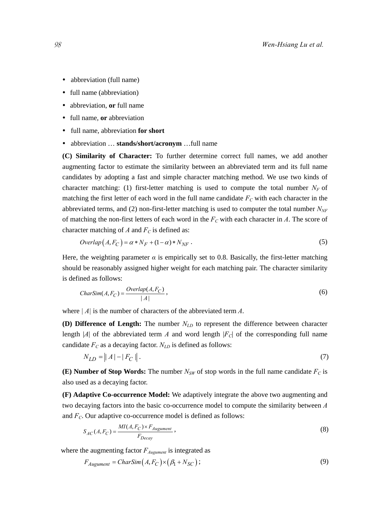- abbreviation (full name)
- full name (abbreviation)
- abbreviation, **or** full name
- full name, **or** abbreviation
- y full name, abbreviation **for short**
- abbreviation ... **stands/short/acronym** ...full name

**(C) Similarity of Character:** To further determine correct full names, we add another augmenting factor to estimate the similarity between an abbreviated term and its full name candidates by adopting a fast and simple character matching method. We use two kinds of character matching: (1) first-letter matching is used to compute the total number  $N_F$  of matching the first letter of each word in the full name candidate  $F<sub>C</sub>$  with each character in the abbreviated terms, and (2) non-first-letter matching is used to computer the total number  $N_{NF}$ of matching the non-first letters of each word in the  $F<sub>C</sub>$  with each character in *A*. The score of character matching of *A* and  $F_C$  is defined as:

$$
Overlap(A, F_C) = \alpha * N_F + (1 - \alpha) * N_{NF} .
$$
\n<sup>(5)</sup>

Here, the weighting parameter  $\alpha$  is empirically set to 0.8. Basically, the first-letter matching should be reasonably assigned higher weight for each matching pair. The character similarity is defined as follows:

$$
CharSim(A, F_C) = \frac{Overlap(A, F_C)}{|A|},
$$
\n(6)

where *| A|* is the number of characters of the abbreviated term *A*.

**(D) Difference of Length:** The number  $N_{LD}$  to represent the difference between character length |*A*| of the abbreviated term *A* and word length  $|F_C|$  of the corresponding full name candidate  $F_C$  as a decaying factor.  $N_{LD}$  is defined as follows:

$$
N_{LD} = ||A| - |F_C||. \tag{7}
$$

**(E) Number of Stop Words:** The number  $N_{SW}$  of stop words in the full name candidate  $F_C$  is also used as a decaying factor.

**(F) Adaptive Co-occurrence Model:** We adaptively integrate the above two augmenting and two decaying factors into the basic co-occurrence model to compute the similarity between *A* and  $F_C$ . Our adaptive co-occurrence model is defined as follows:

$$
S_{AC}(A, F_C) = \frac{MI(A, F_C) \times F_{Augument}}{F_{Decay}},
$$
\n(8)

where the augmenting factor  $F_{Augument}$  is integrated as

$$
F_{Augument} = CharSim(A, F_C) \times (\beta_1 + N_{SC});
$$
\n(9)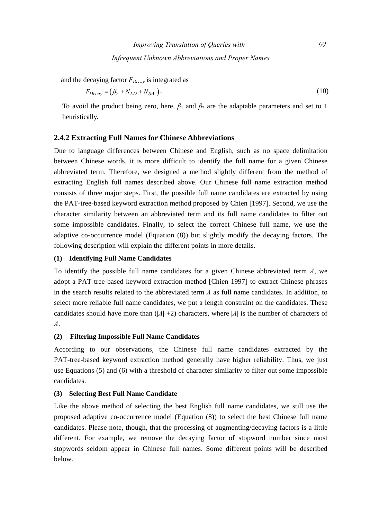and the decaying factor  $F_{Decav}$  is integrated as

$$
F_{Decay} = (\beta_2 + N_{LD} + N_{SW}). \tag{10}
$$

To avoid the product being zero, here,  $\beta_1$  and  $\beta_2$  are the adaptable parameters and set to 1 heuristically.

## **2.4.2 Extracting Full Names for Chinese Abbreviations**

Due to language differences between Chinese and English, such as no space delimitation between Chinese words, it is more difficult to identify the full name for a given Chinese abbreviated term. Therefore, we designed a method slightly different from the method of extracting English full names described above. Our Chinese full name extraction method consists of three major steps. First, the possible full name candidates are extracted by using the PAT-tree-based keyword extraction method proposed by Chien [1997]. Second, we use the character similarity between an abbreviated term and its full name candidates to filter out some impossible candidates. Finally, to select the correct Chinese full name, we use the adaptive co-occurrence model (Equation (8)) but slightly modify the decaying factors. The following description will explain the different points in more details.

#### **(1) Identifying Full Name Candidates**

To identify the possible full name candidates for a given Chinese abbreviated term *A*, we adopt a PAT-tree-based keyword extraction method [Chien 1997] to extract Chinese phrases in the search results related to the abbreviated term *A* as full name candidates. In addition, to select more reliable full name candidates, we put a length constraint on the candidates. These candidates should have more than  $(|A|+2)$  characters, where  $|A|$  is the number of characters of *A*.

#### **(2) Filtering Impossible Full Name Candidates**

According to our observations, the Chinese full name candidates extracted by the PAT-tree-based keyword extraction method generally have higher reliability. Thus, we just use Equations (5) and (6) with a threshold of character similarity to filter out some impossible candidates.

#### **(3) Selecting Best Full Name Candidate**

Like the above method of selecting the best English full name candidates, we still use the proposed adaptive co-occurrence model (Equation (8)) to select the best Chinese full name candidates. Please note, though, that the processing of augmenting/decaying factors is a little different. For example, we remove the decaying factor of stopword number since most stopwords seldom appear in Chinese full names. Some different points will be described below.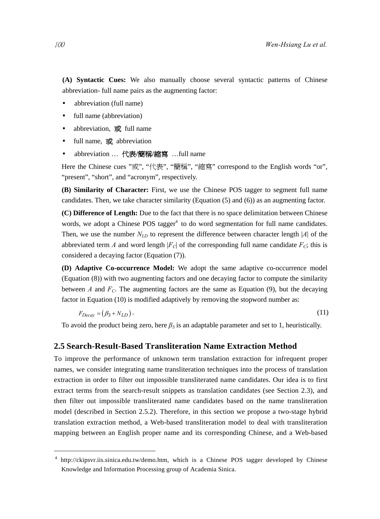**(A) Syntactic Cues:** We also manually choose several syntactic patterns of Chinese abbreviation- full name pairs as the augmenting factor:

- abbreviation (full name)
- full name (abbreviation)
- abbreviation, 或 full name
- full name, 或 abbreviation
- y abbreviation … 代表**/**簡稱**/**縮寫 …full name

Here the Chinese cues "或", "代表", "簡稱", "縮寫" correspond to the English words "or", "present", "short", and "acronym", respectively.

**(B) Similarity of Character:** First, we use the Chinese POS tagger to segment full name candidates. Then, we take character similarity (Equation (5) and (6)) as an augmenting factor.

**(C) Difference of Length:** Due to the fact that there is no space delimitation between Chinese words, we adopt a Chinese POS tagger<sup>4</sup> to do word segmentation for full name candidates. Then, we use the number  $N_{LD}$  to represent the difference between character length |*A*| of the abbreviated term *A* and word length  $|F_C|$  of the corresponding full name candidate  $F_C$ ; this is considered a decaying factor (Equation (7)).

**(D) Adaptive Co-occurrence Model:** We adopt the same adaptive co-occurrence model (Equation (8)) with two augmenting factors and one decaying factor to compute the similarity between *A* and  $F_C$ . The augmenting factors are the same as Equation (9), but the decaying factor in Equation (10) is modified adaptively by removing the stopword number as:

$$
F_{Decay} = (\beta_3 + N_{LD}). \tag{11}
$$

To avoid the product being zero, here  $\beta_3$  is an adaptable parameter and set to 1, heuristically.

#### **2.5 Search-Result-Based Transliteration Name Extraction Method**

To improve the performance of unknown term translation extraction for infrequent proper names, we consider integrating name transliteration techniques into the process of translation extraction in order to filter out impossible transliterated name candidates. Our idea is to first extract terms from the search-result snippets as translation candidates (see Section 2.3), and then filter out impossible transliterated name candidates based on the name transliteration model (described in Section 2.5.2). Therefore, in this section we propose a two-stage hybrid translation extraction method, a Web-based transliteration model to deal with transliteration mapping between an English proper name and its corresponding Chinese, and a Web-based

 $\overline{a}$ 

<sup>4</sup> http://ckipsvr.iis.sinica.edu.tw/demo.htm, which is a Chinese POS tagger developed by Chinese Knowledge and Information Processing group of Academia Sinica.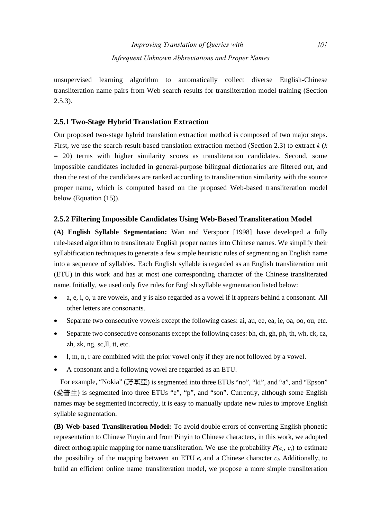unsupervised learning algorithm to automatically collect diverse English-Chinese transliteration name pairs from Web search results for transliteration model training (Section  $2.5.3$ ).

## **2.5.1 Two-Stage Hybrid Translation Extraction**

Our proposed two-stage hybrid translation extraction method is composed of two major steps. First, we use the search-result-based translation extraction method (Section 2.3) to extract *k* (*k* = 20) terms with higher similarity scores as transliteration candidates. Second, some impossible candidates included in general-purpose bilingual dictionaries are filtered out, and then the rest of the candidates are ranked according to transliteration similarity with the source proper name, which is computed based on the proposed Web-based transliteration model below (Equation (15)).

## **2.5.2 Filtering Impossible Candidates Using Web-Based Transliteration Model**

**(A) English Syllable Segmentation:** Wan and Verspoor [1998] have developed a fully rule-based algorithm to transliterate English proper names into Chinese names. We simplify their syllabification techniques to generate a few simple heuristic rules of segmenting an English name into a sequence of syllables. Each English syllable is regarded as an English transliteration unit (ETU) in this work and has at most one corresponding character of the Chinese transliterated name. Initially, we used only five rules for English syllable segmentation listed below:

- a, e, i, o, u are vowels, and y is also regarded as a vowel if it appears behind a consonant. All other letters are consonants.
- Separate two consecutive vowels except the following cases: ai, au, ee, ea, ie, oa, oo, ou, etc.
- Separate two consecutive consonants except the following cases: bh, ch, gh, ph, th, wh, ck, cz, zh, zk, ng, sc,ll, tt, etc.
- l, m, n, r are combined with the prior vowel only if they are not followed by a vowel.
- A consonant and a following vowel are regarded as an ETU.

For example, "Nokia" (諾基亞) is segmented into three ETUs "no", "ki", and "a", and "Epson" (愛普生) is segmented into three ETUs "e", "p", and "son". Currently, although some English names may be segmented incorrectly, it is easy to manually update new rules to improve English syllable segmentation.

**(B) Web-based Transliteration Model:** To avoid double errors of converting English phonetic representation to Chinese Pinyin and from Pinyin to Chinese characters, in this work, we adopted direct orthographic mapping for name transliteration. We use the probability  $P(e_i, c_i)$  to estimate the possibility of the mapping between an ETU  $e_i$  and a Chinese character  $c_i$ . Additionally, to build an efficient online name transliteration model, we propose a more simple transliteration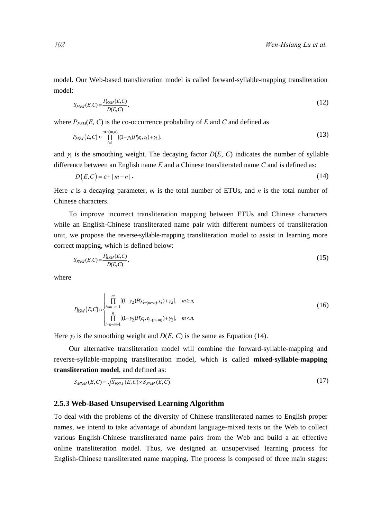model. Our Web-based transliteration model is called forward-syllable-mapping transliteration model:

$$
S_{FSM}(E,C) = \frac{P_{FSM}(E,C)}{D(E,C)},
$$
\n(12)

where  $P_{FSM}(E, C)$  is the co-occurrence probability of *E* and *C* and defined as

$$
P_{FSM}(E,C) \approx \prod_{i=1}^{\min(m,n)} [(1-\gamma_1)P(e_i,c_i) + \gamma_1],\tag{13}
$$

and  $\gamma_1$  is the smoothing weight. The decaying factor  $D(E, C)$  indicates the number of syllable difference between an English name *E* and a Chinese transliterated name *C* and is defined as:

$$
D(E,C) = \varepsilon + |m - n| \tag{14}
$$

Here  $\varepsilon$  is a decaying parameter, *m* is the total number of ETUs, and *n* is the total number of Chinese characters.

To improve incorrect transliteration mapping between ETUs and Chinese characters while an English-Chinese transliterated name pair with different numbers of transliteration unit, we propose the reverse-syllable-mapping transliteration model to assist in learning more correct mapping, which is defined below:

$$
S_{RSM}(E,C) = \frac{P_{RSM}(E,C)}{D(E,C)},
$$
\n(15)

where

$$
P_{RSM}(E,C) \approx \begin{cases} \prod_{i=m-n+1}^{m} [(1-\gamma_2)P(c_{i-(m-n)},e_i)+\gamma_2], & m \ge n; \\ \prod_{i=n-m+1}^{n} [(1-\gamma_2)P(c_i,e_{i-(n-m)})+\gamma_2], & m < n. \end{cases} \tag{16}
$$

Here  $\gamma_2$  is the smoothing weight and  $D(E, C)$  is the same as Equation (14).

Our alternative transliteration model will combine the forward-syllable-mapping and reverse-syllable-mapping transliteration model, which is called **mixed-syllable-mapping transliteration model**, and defined as:

$$
S_{MSM}(E,C) = \sqrt{S_{FSM}(E,C) \times S_{RSM}(E,C)}.
$$
\n(17)

#### **2.5.3 Web-Based Unsupervised Learning Algorithm**

To deal with the problems of the diversity of Chinese transliterated names to English proper names, we intend to take advantage of abundant language-mixed texts on the Web to collect various English-Chinese transliterated name pairs from the Web and build a an effective online transliteration model. Thus, we designed an unsupervised learning process for English-Chinese transliterated name mapping. The process is composed of three main stages: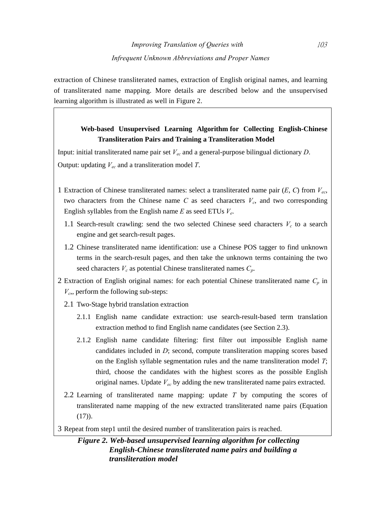extraction of Chinese transliterated names, extraction of English original names, and learning of transliterated name mapping. More details are described below and the unsupervised learning algorithm is illustrated as well in Figure 2.

# **Web-based Unsupervised Learning Algorithm for Collecting English-Chinese Transliteration Pairs and Training a Transliteration Model**

Input: initial transliterated name pair set *Vec* and a general-purpose bilingual dictionary *D*. Output: updating *Vec* and a transliteration model *T*.

- 1 Extraction of Chinese transliterated names: select a transliterated name pair (*E*, *C*) from *Vec*, two characters from the Chinese name  $C$  as seed characters  $V_c$ , and two corresponding English syllables from the English name *E* as seed ETUs *Ve*.
	- 1.1 Search-result crawling: send the two selected Chinese seed characters  $V_c$  to a search engine and get search-result pages.
	- 1.2 Chinese transliterated name identification: use a Chinese POS tagger to find unknown terms in the search-result pages, and then take the unknown terms containing the two seed characters  $V_c$  as potential Chinese transliterated names  $C_p$ .
- 2 Extraction of English original names: for each potential Chinese transliterated name *Cp* in  $V_c$ , perform the following sub-steps:
	- 2.1 Two-Stage hybrid translation extraction
		- 2.1.1 English name candidate extraction: use search-result-based term translation extraction method to find English name candidates (see Section 2.3).
		- 2.1.2 English name candidate filtering: first filter out impossible English name candidates included in *D*; second, compute transliteration mapping scores based on the English syllable segmentation rules and the name transliteration model *T*; third, choose the candidates with the highest scores as the possible English original names. Update *Vec* by adding the new transliterated name pairs extracted.
	- 2.2 Learning of transliterated name mapping: update *T* by computing the scores of transliterated name mapping of the new extracted transliterated name pairs (Equation (17)).
- 3 Repeat from step1 until the desired number of transliteration pairs is reached.

*Figure 2. Web-based unsupervised learning algorithm for collecting English-Chinese transliterated name pairs and building a transliteration model*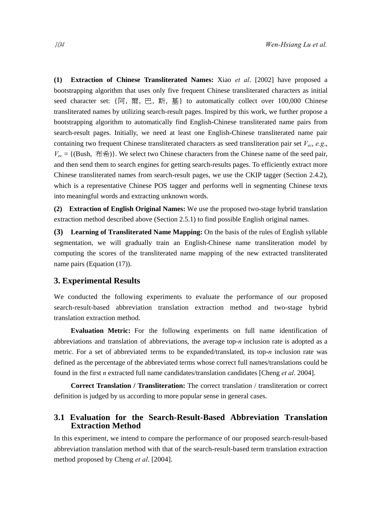**(1) Extraction of Chinese Transliterated Names:** Xiao *et al*. [2002] have proposed a bootstrapping algorithm that uses only five frequent Chinese transliterated characters as initial seed character set: {阿, 爾, 巴, 斯, 基} to automatically collect over 100,000 Chinese transliterated names by utilizing search-result pages. Inspired by this work, we further propose a bootstrapping algorithm to automatically find English-Chinese transliterated name pairs from search-result pages. Initially, we need at least one English-Chinese transliterated name pair containing two frequent Chinese transliterated characters as seed transliteration pair set *Vec*, *e.g*.,  $V_{ec} = \{(\text{Bush}, \overline{m}\hat{\pi})\}\.$  We select two Chinese characters from the Chinese name of the seed pair, and then send them to search engines for getting search-results pages. To efficiently extract more Chinese transliterated names from search-result pages, we use the CKIP tagger (Section 2.4.2), which is a representative Chinese POS tagger and performs well in segmenting Chinese texts into meaningful words and extracting unknown words.

**(2) Extraction of English Original Names:** We use the proposed two-stage hybrid translation extraction method described above (Section 2.5.1) to find possible English original names.

**(3) Learning of Transliterated Name Mapping:** On the basis of the rules of English syllable segmentation, we will gradually train an English-Chinese name transliteration model by computing the scores of the transliterated name mapping of the new extracted transliterated name pairs (Equation (17)).

## **3. Experimental Results**

We conducted the following experiments to evaluate the performance of our proposed search-result-based abbreviation translation extraction method and two-stage hybrid translation extraction method.

**Evaluation Metric:** For the following experiments on full name identification of abbreviations and translation of abbreviations, the average top-*n* inclusion rate is adopted as a metric. For a set of abbreviated terms to be expanded/translated, its top-*n* inclusion rate was defined as the percentage of the abbreviated terms whose correct full names/translations could be found in the first *n* extracted full name candidates/translation candidates [Cheng *et al*. 2004].

**Correct Translation / Transliteration:** The correct translation / transliteration or correct definition is judged by us according to more popular sense in general cases.

## **3.1 Evaluation for the Search-Result-Based Abbreviation Translation Extraction Method**

In this experiment, we intend to compare the performance of our proposed search-result-based abbreviation translation method with that of the search-result-based term translation extraction method proposed by Cheng *et al*. [2004].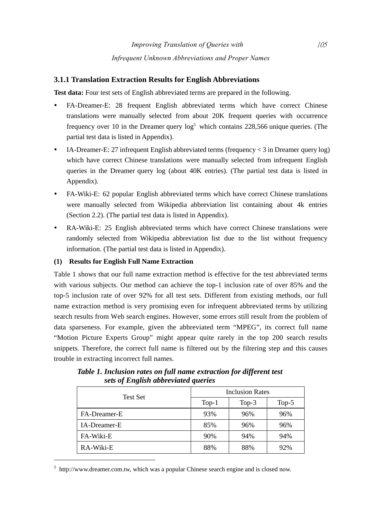## **3.1.1 Translation Extraction Results for English Abbreviations**

**Test data:** Four test sets of English abbreviated terms are prepared in the following.

- FA-Dreamer-E: 28 frequent English abbreviated terms which have correct Chinese translations were manually selected from about 20K frequent queries with occurrence frequency over 10 in the Dreamer query  $\log^5$  which contains 228,566 unique queries. (The partial test data is listed in Appendix).
- IA-Dreamer-E: 27 infrequent English abbreviated terms (frequency  $\lt 3$  in Dreamer query log) which have correct Chinese translations were manually selected from infrequent English queries in the Dreamer query log (about 40K entries). (The partial test data is listed in Appendix).
- y FA-Wiki-E: 62 popular English abbreviated terms which have correct Chinese translations were manually selected from Wikipedia abbreviation list containing about 4k entries (Section 2.2). (The partial test data is listed in Appendix).
- RA-Wiki-E: 25 English abbreviated terms which have correct Chinese translations were randomly selected from Wikipedia abbreviation list due to the list without frequency information. (The partial test data is listed in Appendix).

## **(1) Results for English Full Name Extraction**

 $\overline{a}$ 

Table 1 shows that our full name extraction method is effective for the test abbreviated terms with various subjects. Our method can achieve the top-1 inclusion rate of over 85% and the top-5 inclusion rate of over 92% for all test sets. Different from existing methods, our full name extraction method is very promising even for infrequent abbreviated terms by utilizing search results from Web search engines. However, some errors still result from the problem of data sparseness. For example, given the abbreviated term "MPEG", its correct full name "Motion Picture Experts Group" might appear quite rarely in the top 200 search results snippets. Therefore, the correct full name is filtered out by the filtering step and this causes trouble in extracting incorrect full names.

| <b>Test Set</b> | <b>Inclusion Rates</b> |          |          |  |
|-----------------|------------------------|----------|----------|--|
|                 | $Top-1$                | Top- $3$ | Top- $5$ |  |
| FA-Dreamer-E    | 93%                    | 96%      | 96%      |  |
| IA-Dreamer-E    | 85%                    | 96%      | 96%      |  |
| FA-Wiki-E       | 90%                    | 94%      | 94%      |  |
| RA-Wiki-E       | 88%                    | 88%      | 92%      |  |

*Table 1. Inclusion rates on full name extraction for different test sets of English abbreviated queries* 

<sup>5</sup> http://www.dreamer.com.tw, which was a popular Chinese search engine and is closed now.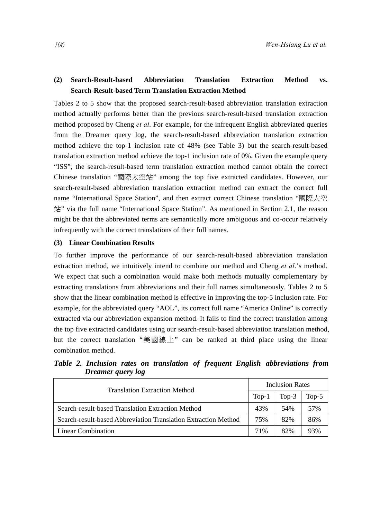## **(2) Search-Result-based Abbreviation Translation Extraction Method vs. Search-Result-based Term Translation Extraction Method**

Tables 2 to 5 show that the proposed search-result-based abbreviation translation extraction method actually performs better than the previous search-result-based translation extraction method proposed by Cheng *et al*. For example, for the infrequent English abbreviated queries from the Dreamer query log, the search-result-based abbreviation translation extraction method achieve the top-1 inclusion rate of 48% (see Table 3) but the search-result-based translation extraction method achieve the top-1 inclusion rate of 0%. Given the example query "ISS", the search-result-based term translation extraction method cannot obtain the correct Chinese translation "國際太空站" among the top five extracted candidates. However, our search-result-based abbreviation translation extraction method can extract the correct full name "International Space Station", and then extract correct Chinese translation "國際太空 站" via the full name "International Space Station". As mentioned in Section 2.1, the reason might be that the abbreviated terms are semantically more ambiguous and co-occur relatively infrequently with the correct translations of their full names.

#### **(3) Linear Combination Results**

To further improve the performance of our search-result-based abbreviation translation extraction method, we intuitively intend to combine our method and Cheng *et al*.'s method. We expect that such a combination would make both methods mutually complementary by extracting translations from abbreviations and their full names simultaneously. Tables 2 to 5 show that the linear combination method is effective in improving the top-5 inclusion rate. For example, for the abbreviated query "AOL", its correct full name "America Online" is correctly extracted via our abbreviation expansion method. It fails to find the correct translation among the top five extracted candidates using our search-result-based abbreviation translation method, but the correct translation "美國線上" can be ranked at third place using the linear combination method.

*Table 2. Inclusion rates on translation of frequent English abbreviations from Dreamer query log* 

| <b>Translation Extraction Method</b>                           | <b>Inclusion Rates</b> |         |         |
|----------------------------------------------------------------|------------------------|---------|---------|
|                                                                |                        | $Top-3$ | $Top-5$ |
| Search-result-based Translation Extraction Method              | 43%                    | 54%     | 57%     |
| Search-result-based Abbreviation Translation Extraction Method |                        | 82%     | 86%     |
| Linear Combination                                             | 71%                    | 82%     | 93%     |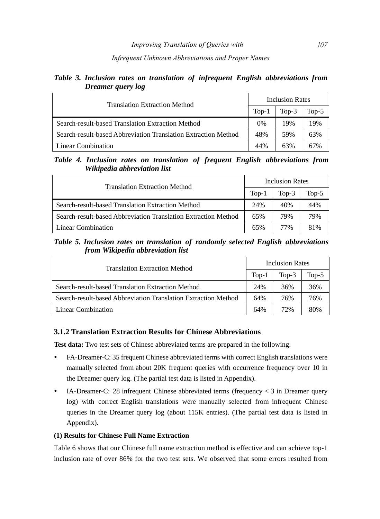#### *Infrequent Unknown Abbreviations and Proper Names*

## *Table 3. Inclusion rates on translation of infrequent English abbreviations from Dreamer query log*

| <b>Translation Extraction Method</b>                           |     | Inclusion Rates |         |  |
|----------------------------------------------------------------|-----|-----------------|---------|--|
|                                                                |     | $Top-3$         | $Top-5$ |  |
| Search-result-based Translation Extraction Method              | 0%  | 19%             | 19%     |  |
| Search-result-based Abbreviation Translation Extraction Method | 48% | 59%             | 63%     |  |
| Linear Combination                                             | 44% | 63%             | 67%     |  |

#### *Table 4. Inclusion rates on translation of frequent English abbreviations from Wikipedia abbreviation list*

| <b>Translation Extraction Method</b>                           |     | <b>Inclusion Rates</b> |         |  |
|----------------------------------------------------------------|-----|------------------------|---------|--|
|                                                                |     | Top- $3$               | $Top-5$ |  |
| Search-result-based Translation Extraction Method              | 24% | 40%                    | 44%     |  |
| Search-result-based Abbreviation Translation Extraction Method | 65% | 79%                    | 79%     |  |
| Linear Combination                                             | 65% | 77%                    | 81%     |  |

#### *Table 5. Inclusion rates on translation of randomly selected English abbreviations from Wikipedia abbreviation list*

| <b>Translation Extraction Method</b>                           | <b>Inclusion Rates</b> |         |         |
|----------------------------------------------------------------|------------------------|---------|---------|
|                                                                |                        | $Top-3$ | $Top-5$ |
| Search-result-based Translation Extraction Method              | 24%                    | 36%     | 36%     |
| Search-result-based Abbreviation Translation Extraction Method | 64%                    | 76%     | 76%     |
| Linear Combination                                             | 64%                    | 72%     | 80%     |

## **3.1.2 Translation Extraction Results for Chinese Abbreviations**

**Test data:** Two test sets of Chinese abbreviated terms are prepared in the following.

- y FA-Dreamer-C: 35 frequent Chinese abbreviated terms with correct English translations were manually selected from about 20K frequent queries with occurrence frequency over 10 in the Dreamer query log. (The partial test data is listed in Appendix).
- IA-Dreamer-C: 28 infrequent Chinese abbreviated terms (frequency  $<$  3 in Dreamer query log) with correct English translations were manually selected from infrequent Chinese queries in the Dreamer query log (about 115K entries). (The partial test data is listed in Appendix).

#### **(1) Results for Chinese Full Name Extraction**

Table 6 shows that our Chinese full name extraction method is effective and can achieve top-1 inclusion rate of over 86% for the two test sets. We observed that some errors resulted from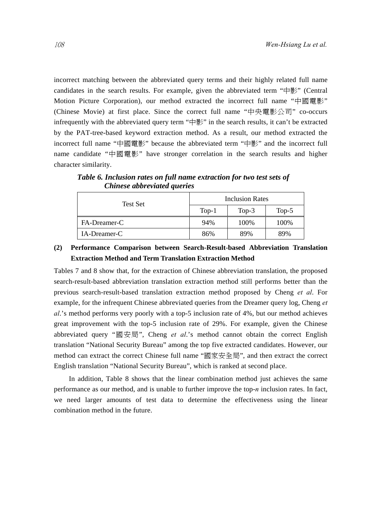incorrect matching between the abbreviated query terms and their highly related full name candidates in the search results. For example, given the abbreviated term "中影" (Central Motion Picture Corporation), our method extracted the incorrect full name "中國電影" (Chinese Movie) at first place. Since the correct full name "中央電影公司" co-occurs infrequently with the abbreviated query term " $\#$ )" in the search results, it can't be extracted by the PAT-tree-based keyword extraction method. As a result, our method extracted the incorrect full name "中國電影" because the abbreviated term "中影" and the incorrect full name candidate "中國電影" have stronger correlation in the search results and higher character similarity.

Inclusion Rates Test Set  $Top-1$   $Top-3$   $Top-5$ FA-Dreamer-C 100% 100% 100%  $IA-Dreamer-C$  86% 89% 89%

*Table 6. Inclusion rates on full name extraction for two test sets of Chinese abbreviated queries* 

## **(2) Performance Comparison between Search-Result-based Abbreviation Translation Extraction Method and Term Translation Extraction Method**

Tables 7 and 8 show that, for the extraction of Chinese abbreviation translation, the proposed search-result-based abbreviation translation extraction method still performs better than the previous search-result-based translation extraction method proposed by Cheng *et al*. For example, for the infrequent Chinese abbreviated queries from the Dreamer query log, Cheng *et al*.'s method performs very poorly with a top-5 inclusion rate of 4%, but our method achieves great improvement with the top-5 inclusion rate of 29%. For example, given the Chinese abbreviated query "國安局", Cheng *et al*.'s method cannot obtain the correct English translation "National Security Bureau" among the top five extracted candidates. However, our method can extract the correct Chinese full name "國家安全局", and then extract the correct English translation "National Security Bureau", which is ranked at second place.

In addition, Table 8 shows that the linear combination method just achieves the same performance as our method, and is unable to further improve the top-*n* inclusion rates. In fact, we need larger amounts of test data to determine the effectiveness using the linear combination method in the future.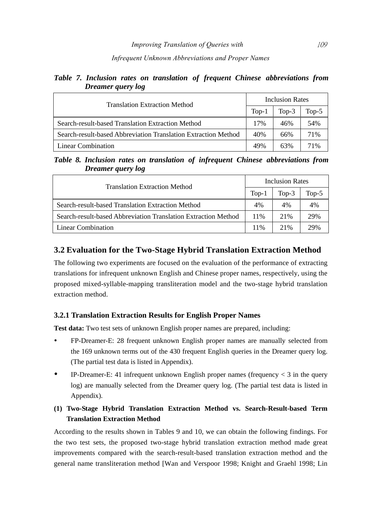#### *Infrequent Unknown Abbreviations and Proper Names*

## *Table 7. Inclusion rates on translation of frequent Chinese abbreviations from Dreamer query log*

| <b>Translation Extraction Method</b>                           | <b>Inclusion Rates</b> |         |         |
|----------------------------------------------------------------|------------------------|---------|---------|
|                                                                |                        | $Top-3$ | $Top-5$ |
| Search-result-based Translation Extraction Method              | 17%                    | 46%     | 54%     |
| Search-result-based Abbreviation Translation Extraction Method | 40%                    | 66%     | 71%     |
| Linear Combination                                             | 49%                    | 63%     | 71%     |

## *Table 8. Inclusion rates on translation of infrequent Chinese abbreviations from Dreamer query log*

| <b>Translation Extraction Method</b>                           |     | <b>Inclusion Rates</b> |         |  |
|----------------------------------------------------------------|-----|------------------------|---------|--|
|                                                                |     | Top- $3$               | $Top-5$ |  |
| Search-result-based Translation Extraction Method              | 4%  | 4%                     | 4%      |  |
| Search-result-based Abbreviation Translation Extraction Method | 11% | 21%                    | 29%     |  |
| <b>Linear Combination</b>                                      | 11% | 21%                    | 29%     |  |

# **3.2 Evaluation for the Two-Stage Hybrid Translation Extraction Method**

The following two experiments are focused on the evaluation of the performance of extracting translations for infrequent unknown English and Chinese proper names, respectively, using the proposed mixed-syllable-mapping transliteration model and the two-stage hybrid translation extraction method.

## **3.2.1 Translation Extraction Results for English Proper Names**

**Test data:** Two test sets of unknown English proper names are prepared, including:

- FP-Dreamer-E: 28 frequent unknown English proper names are manually selected from the 169 unknown terms out of the 430 frequent English queries in the Dreamer query log. (The partial test data is listed in Appendix).
- IP-Dreamer-E: 41 infrequent unknown English proper names (frequency  $\lt 3$  in the query log) are manually selected from the Dreamer query log. (The partial test data is listed in Appendix).

# **(1) Two-Stage Hybrid Translation Extraction Method vs. Search-Result-based Term Translation Extraction Method**

According to the results shown in Tables 9 and 10, we can obtain the following findings. For the two test sets, the proposed two-stage hybrid translation extraction method made great improvements compared with the search-result-based translation extraction method and the general name transliteration method [Wan and Verspoor 1998; Knight and Graehl 1998; Lin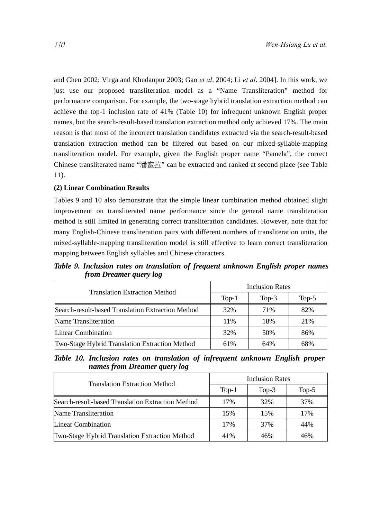and Chen 2002; Virga and Khudanpur 2003; Gao *et al*. 2004; Li *et al*. 2004]. In this work, we just use our proposed transliteration model as a "Name Transliteration" method for performance comparison. For example, the two-stage hybrid translation extraction method can achieve the top-1 inclusion rate of 41% (Table 10) for infrequent unknown English proper names, but the search-result-based translation extraction method only achieved 17%. The main reason is that most of the incorrect translation candidates extracted via the search-result-based translation extraction method can be filtered out based on our mixed-syllable-mapping transliteration model. For example, given the English proper name "Pamela", the correct Chinese transliterated name "潘蜜拉" can be extracted and ranked at second place (see Table 11).

#### **(2) Linear Combination Results**

Tables 9 and 10 also demonstrate that the simple linear combination method obtained slight improvement on transliterated name performance since the general name transliteration method is still limited in generating correct transliteration candidates. However, note that for many English-Chinese transliteration pairs with different numbers of transliteration units, the mixed-syllable-mapping transliteration model is still effective to learn correct transliteration mapping between English syllables and Chinese characters.

*Table 9. Inclusion rates on translation of frequent unknown English proper names from Dreamer query log* 

| <b>Translation Extraction Method</b>              | <b>Inclusion Rates</b> |          |          |  |
|---------------------------------------------------|------------------------|----------|----------|--|
|                                                   | $Top-1$                | Top- $3$ | Top- $5$ |  |
| Search-result-based Translation Extraction Method | 32%                    | 71%      | 82%      |  |
| Name Transliteration                              | 11%                    | 18%      | 21%      |  |
| Linear Combination                                | 32%                    | 50%      | 86%      |  |
| Two-Stage Hybrid Translation Extraction Method    | 61%                    | 64%      | 68%      |  |

*Table 10. Inclusion rates on translation of infrequent unknown English proper names from Dreamer query log* 

| <b>Translation Extraction Method</b>              | <b>Inclusion Rates</b> |         |         |  |
|---------------------------------------------------|------------------------|---------|---------|--|
|                                                   | $Top-1$                | $Top-3$ | $Top-5$ |  |
| Search-result-based Translation Extraction Method | 17%                    | 32%     | 37%     |  |
| Name Transliteration                              | 15%                    | 15%     | 17%     |  |
| <b>Linear Combination</b>                         | 17%                    | 37%     | 44%     |  |
| Two-Stage Hybrid Translation Extraction Method    | 41%                    | 46%     | 46%     |  |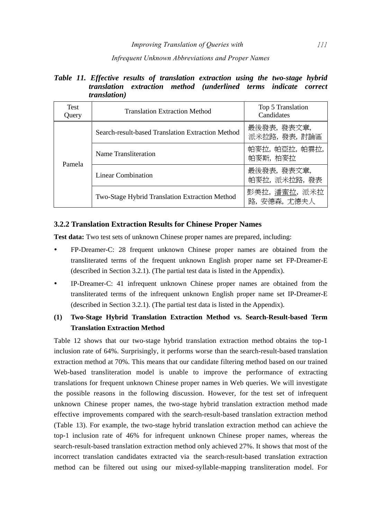#### *Infrequent Unknown Abbreviations and Proper Names*

## *Table 11. Effective results of translation extraction using the two-stage hybrid translation extraction method (underlined terms indicate correct translation)*

| Test<br>Query | <b>Translation Extraction Method</b>              | Top 5 Translation<br>Candidates |
|---------------|---------------------------------------------------|---------------------------------|
|               | Search-result-based Translation Extraction Method | 最後發表, 發表文章,<br>派米拉路, 發表, 討論區    |
| Pamela        | Name Transliteration                              | 帕麥拉,帕亞拉,帕雲拉,<br>帕麥斯, 柏麥拉        |
|               | Linear Combination                                | 最後發表, 發表文章,<br>帕麥拉, 派米拉路, 發表    |
|               | Two-Stage Hybrid Translation Extraction Method    | 彭美拉,潘蜜拉,派米拉<br>路, 安德森, 尤德夫人     |

#### **3.2.2 Translation Extraction Results for Chinese Proper Names**

**Test data:** Two test sets of unknown Chinese proper names are prepared, including:

- FP-Dreamer-C: 28 frequent unknown Chinese proper names are obtained from the transliterated terms of the frequent unknown English proper name set FP-Dreamer-E (described in Section 3.2.1). (The partial test data is listed in the Appendix).
- y IP-Dreamer-C: 41 infrequent unknown Chinese proper names are obtained from the transliterated terms of the infrequent unknown English proper name set IP-Dreamer-E (described in Section 3.2.1). (The partial test data is listed in the Appendix).

## **(1) Two-Stage Hybrid Translation Extraction Method vs. Search-Result-based Term Translation Extraction Method**

Table 12 shows that our two-stage hybrid translation extraction method obtains the top-1 inclusion rate of 64%. Surprisingly, it performs worse than the search-result-based translation extraction method at 70%. This means that our candidate filtering method based on our trained Web-based transliteration model is unable to improve the performance of extracting translations for frequent unknown Chinese proper names in Web queries. We will investigate the possible reasons in the following discussion. However, for the test set of infrequent unknown Chinese proper names, the two-stage hybrid translation extraction method made effective improvements compared with the search-result-based translation extraction method (Table 13). For example, the two-stage hybrid translation extraction method can achieve the top-1 inclusion rate of 46% for infrequent unknown Chinese proper names, whereas the search-result-based translation extraction method only achieved 27%. It shows that most of the incorrect translation candidates extracted via the search-result-based translation extraction method can be filtered out using our mixed-syllable-mapping transliteration model. For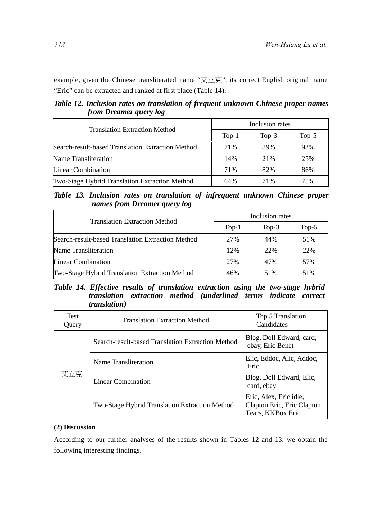example, given the Chinese transliterated name "艾立克", its correct English original name "Eric" can be extracted and ranked at first place (Table 14).

*Table 12. Inclusion rates on translation of frequent unknown Chinese proper names from Dreamer query log* 

| <b>Translation Extraction Method</b>              | Inclusion rates |          |          |  |
|---------------------------------------------------|-----------------|----------|----------|--|
|                                                   | $Top-1$         | Top- $3$ | Top- $5$ |  |
| Search-result-based Translation Extraction Method | 71%             | 89%      | 93%      |  |
| Name Transliteration                              | 14%             | 21%      | 25%      |  |
| Linear Combination                                | 71%             | 82%      | 86%      |  |
| Two-Stage Hybrid Translation Extraction Method    | 64%             | 71%      | 75%      |  |

*Table 13. Inclusion rates on translation of infrequent unknown Chinese proper names from Dreamer query log* 

| <b>Translation Extraction Method</b>                  | Inclusion rates |         |          |  |
|-------------------------------------------------------|-----------------|---------|----------|--|
|                                                       | $Top-1$         | $Top-3$ | Top- $5$ |  |
| Search-result-based Translation Extraction Method     | 27%             | 44%     | 51%      |  |
| Name Transliteration                                  | 12%             | 22%     | 22%      |  |
| <b>Linear Combination</b>                             | 27%             | 47%     | 57%      |  |
| <b>Two-Stage Hybrid Translation Extraction Method</b> | 46%             | 51%     | 51%      |  |

*Table 14. Effective results of translation extraction using the two-stage hybrid translation extraction method (underlined terms indicate correct translation)* 

| <b>Test</b><br>Query | <b>Translation Extraction Method</b>              | Top 5 Translation<br>Candidates                                           |
|----------------------|---------------------------------------------------|---------------------------------------------------------------------------|
| 艾立克                  | Search-result-based Translation Extraction Method | Blog, Doll Edward, card,<br>ebay, Eric Benet                              |
|                      | Name Transliteration                              | Elic, Eddoc, Alic, Addoc,<br>Eric                                         |
|                      | Linear Combination                                | Blog, Doll Edward, Elic,<br>card, ebay                                    |
|                      | Two-Stage Hybrid Translation Extraction Method    | Eric, Alex, Eric idle,<br>Clapton Eric, Eric Clapton<br>Tears, KKBox Eric |

#### **(2) Discussion**

According to our further analyses of the results shown in Tables 12 and 13, we obtain the following interesting findings.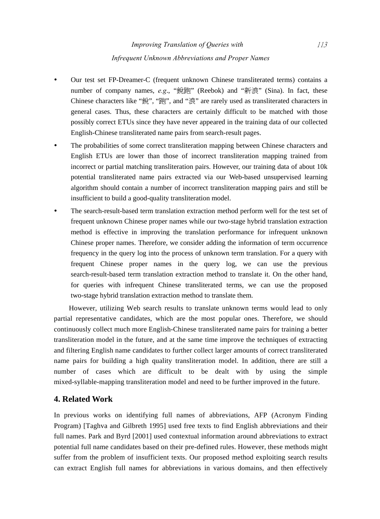- Our test set FP-Dreamer-C (frequent unknown Chinese transliterated terms) contains a number of company names, e.g., "銳跑" (Reebok) and "新浪" (Sina). In fact, these Chinese characters like "銳", "跑", and "浪" are rarely used as transliterated characters in general cases. Thus, these characters are certainly difficult to be matched with those possibly correct ETUs since they have never appeared in the training data of our collected English-Chinese transliterated name pairs from search-result pages.
- The probabilities of some correct transliteration mapping between Chinese characters and English ETUs are lower than those of incorrect transliteration mapping trained from incorrect or partial matching transliteration pairs. However, our training data of about 10k potential transliterated name pairs extracted via our Web-based unsupervised learning algorithm should contain a number of incorrect transliteration mapping pairs and still be insufficient to build a good-quality transliteration model.
- The search-result-based term translation extraction method perform well for the test set of frequent unknown Chinese proper names while our two-stage hybrid translation extraction method is effective in improving the translation performance for infrequent unknown Chinese proper names. Therefore, we consider adding the information of term occurrence frequency in the query log into the process of unknown term translation. For a query with frequent Chinese proper names in the query log, we can use the previous search-result-based term translation extraction method to translate it. On the other hand, for queries with infrequent Chinese transliterated terms, we can use the proposed two-stage hybrid translation extraction method to translate them.

However, utilizing Web search results to translate unknown terms would lead to only partial representative candidates, which are the most popular ones. Therefore, we should continuously collect much more English-Chinese transliterated name pairs for training a better transliteration model in the future, and at the same time improve the techniques of extracting and filtering English name candidates to further collect larger amounts of correct transliterated name pairs for building a high quality transliteration model. In addition, there are still a number of cases which are difficult to be dealt with by using the simple mixed-syllable-mapping transliteration model and need to be further improved in the future.

## **4. Related Work**

In previous works on identifying full names of abbreviations, AFP (Acronym Finding Program) [Taghva and Gilbreth 1995] used free texts to find English abbreviations and their full names. Park and Byrd [2001] used contextual information around abbreviations to extract potential full name candidates based on their pre-defined rules. However, these methods might suffer from the problem of insufficient texts. Our proposed method exploiting search results can extract English full names for abbreviations in various domains, and then effectively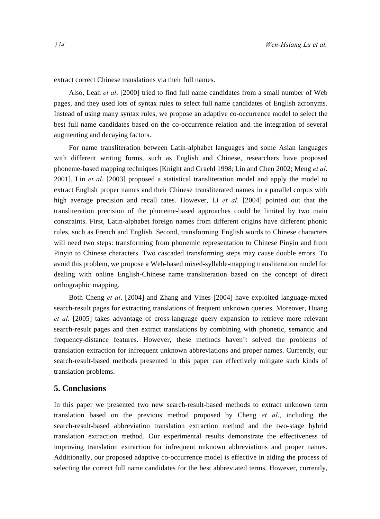extract correct Chinese translations via their full names.

Also, Leah *et al*. [2000] tried to find full name candidates from a small number of Web pages, and they used lots of syntax rules to select full name candidates of English acronyms. Instead of using many syntax rules, we propose an adaptive co-occurrence model to select the best full name candidates based on the co-occurrence relation and the integration of several augmenting and decaying factors.

For name transliteration between Latin-alphabet languages and some Asian languages with different writing forms, such as English and Chinese, researchers have proposed phoneme-based mapping techniques [Knight and Graehl 1998; Lin and Chen 2002; Meng *et al*. 2001]. Lin *et al*. [2003] proposed a statistical transliteration model and apply the model to extract English proper names and their Chinese transliterated names in a parallel corpus with high average precision and recall rates. However, Li *et al*. [2004] pointed out that the transliteration precision of the phoneme-based approaches could be limited by two main constraints. First, Latin-alphabet foreign names from different origins have different phonic rules, such as French and English. Second, transforming English words to Chinese characters will need two steps: transforming from phonemic representation to Chinese Pinyin and from Pinyin to Chinese characters. Two cascaded transforming steps may cause double errors. To avoid this problem, we propose a Web-based mixed-syllable-mapping transliteration model for dealing with online English-Chinese name transliteration based on the concept of direct orthographic mapping.

Both Cheng *et al*. [2004] and Zhang and Vines [2004] have exploited language-mixed search-result pages for extracting translations of frequent unknown queries. Moreover, Huang *et al.* [2005] takes advantage of cross-language query expansion to retrieve more relevant search-result pages and then extract translations by combining with phonetic, semantic and frequency-distance features. However, these methods haven't solved the problems of translation extraction for infrequent unknown abbreviations and proper names. Currently, our search-result-based methods presented in this paper can effectively mitigate such kinds of translation problems.

## **5. Conclusions**

In this paper we presented two new search-result-based methods to extract unknown term translation based on the previous method proposed by Cheng *et al*., including the search-result-based abbreviation translation extraction method and the two-stage hybrid translation extraction method. Our experimental results demonstrate the effectiveness of improving translation extraction for infrequent unknown abbreviations and proper names. Additionally, our proposed adaptive co-occurrence model is effective in aiding the process of selecting the correct full name candidates for the best abbreviated terms. However, currently,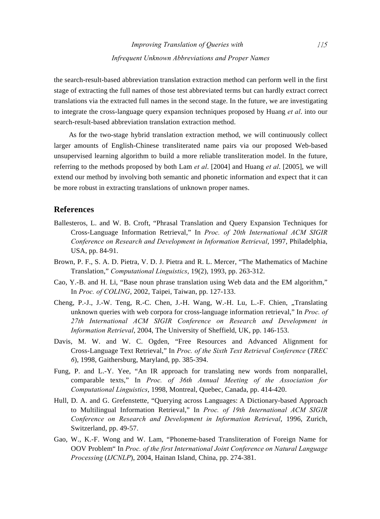the search-result-based abbreviation translation extraction method can perform well in the first stage of extracting the full names of those test abbreviated terms but can hardly extract correct translations via the extracted full names in the second stage. In the future, we are investigating to integrate the cross-language query expansion techniques proposed by Huang *et al*. into our search-result-based abbreviation translation extraction method.

As for the two-stage hybrid translation extraction method, we will continuously collect larger amounts of English-Chinese transliterated name pairs via our proposed Web-based unsupervised learning algorithm to build a more reliable transliteration model. In the future, referring to the methods proposed by both Lam *et al*. [2004] and Huang *et al*. [2005], we will extend our method by involving both semantic and phonetic information and expect that it can be more robust in extracting translations of unknown proper names.

## **References**

- Ballesteros, L. and W. B. Croft, "Phrasal Translation and Query Expansion Techniques for Cross-Language Information Retrieval," In *Proc. of 20th International ACM SIGIR Conference on Research and Development in Information Retrieval*, 1997, Philadelphia, USA, pp. 84-91.
- Brown, P. F., S. A. D. Pietra, V. D. J. Pietra and R. L. Mercer, "The Mathematics of Machine Translation," *Computational Linguistics*, 19(2), 1993, pp. 263-312.
- Cao, Y.-B. and H. Li, "Base noun phrase translation using Web data and the EM algorithm," In *Proc. of COLING*, 2002, Taipei, Taiwan, pp. 127-133.
- Cheng, P.-J., J.-W. Teng, R.-C. Chen, J.-H. Wang, W.-H. Lu, L.-F. Chien, "Translating unknown queries with web corpora for cross-language information retrieval," In *Proc. of 27th International ACM SIGIR Conference on Research and Development in Information Retrieval*, 2004, The University of Sheffield, UK, pp. 146-153.
- Davis, M. W. and W. C. Ogden, "Free Resources and Advanced Alignment for Cross-Language Text Retrieval," In *Proc. of the Sixth Text Retrieval Conference* (*TREC 6*), 1998, Gaithersburg, Maryland, pp. 385-394.
- Fung, P. and L.-Y. Yee, "An IR approach for translating new words from nonparallel, comparable texts," In *Proc. of 36th Annual Meeting of the Association for Computational Linguistics*, 1998, Montreal, Quebec, Canada, pp. 414-420.
- Hull, D. A. and G. Grefenstette, "Querying across Languages: A Dictionary-based Approach to Multilingual Information Retrieval," In *Proc. of 19th International ACM SIGIR Conference on Research and Development in Information Retrieval*, 1996, Zurich, Switzerland, pp. 49-57.
- Gao, W., K.-F. Wong and W. Lam, "Phoneme-based Transliteration of Foreign Name for OOV Problem" In *Proc. of the first International Joint Conference on Natural Language Processing* (*IJCNLP*), 2004, Hainan Island, China, pp. 274-381.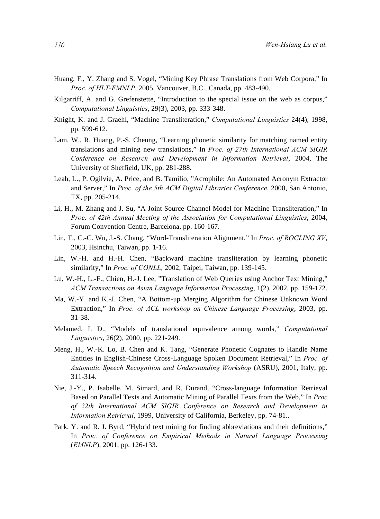- Huang, F., Y. Zhang and S. Vogel, "Mining Key Phrase Translations from Web Corpora," In *Proc. of HLT-EMNLP*, 2005, Vancouver, B.C., Canada, pp. 483-490.
- Kilgarriff, A. and G. Grefenstette, "Introduction to the special issue on the web as corpus," *Computational Linguistics*, 29(3), 2003, pp. 333-348.
- Knight, K. and J. Graehl, "Machine Transliteration," *Computational Linguistics* 24(4), 1998, pp. 599-612.
- Lam, W., R. Huang, P.-S. Cheung, "Learning phonetic similarity for matching named entity translations and mining new translations," In *Proc. of 27th International ACM SIGIR Conference on Research and Development in Information Retrieval*, 2004, The University of Sheffield, UK, pp. 281-288.
- Leah, L., P. Ogilvie, A. Price, and B. Tamilio, "Acrophile: An Automated Acronym Extractor and Server," In *Proc. of the 5th ACM Digital Libraries Conference*, 2000, San Antonio, TX, pp. 205-214.
- Li, H., M. Zhang and J. Su, "A Joint Source-Channel Model for Machine Transliteration," In *Proc. of 42th Annual Meeting of the Association for Computational Linguistics*, 2004, Forum Convention Centre, Barcelona, pp. 160-167.
- Lin, T., C.-C. Wu, J.-S. Chang, "Word-Transliteration Alignment," In *Proc. of ROCLING XV*, 2003, Hsinchu, Taiwan, pp. 1-16.
- Lin, W.-H. and H.-H. Chen, "Backward machine transliteration by learning phonetic similarity," In *Proc. of CONLL*, 2002, Taipei, Taiwan, pp. 139-145.
- Lu, W.-H., L.-F., Chien, H.-J. Lee, "Translation of Web Queries using Anchor Text Mining," *ACM Transactions on Asian Language Information Processing*, 1(2), 2002, pp. 159-172.
- Ma, W.-Y. and K.-J. Chen, "A Bottom-up Merging Algorithm for Chinese Unknown Word Extraction," In *Proc. of ACL workshop on Chinese Language Processing*, 2003, pp. 31-38.
- Melamed, I. D., "Models of translational equivalence among words," *Computational Linguistics*, 26(2), 2000, pp. 221-249.
- Meng, H., W.-K. Lo, B. Chen and K. Tang, "Generate Phonetic Cognates to Handle Name Entities in English-Chinese Cross-Language Spoken Document Retrieval," In *Proc. of Automatic Speech Recognition and Understanding Workshop* (ASRU), 2001, Italy, pp. 311-314.
- Nie, J.-Y., P. Isabelle, M. Simard, and R. Durand, "Cross-language Information Retrieval Based on Parallel Texts and Automatic Mining of Parallel Texts from the Web," In *Proc. of 22th International ACM SIGIR Conference on Research and Development in Information Retrieval*, 1999, University of California, Berkeley, pp. 74-81..
- Park, Y. and R. J. Byrd, "Hybrid text mining for finding abbreviations and their definitions," In *Proc. of Conference on Empirical Methods in Natural Language Processing*  (*EMNLP*), 2001, pp. 126-133.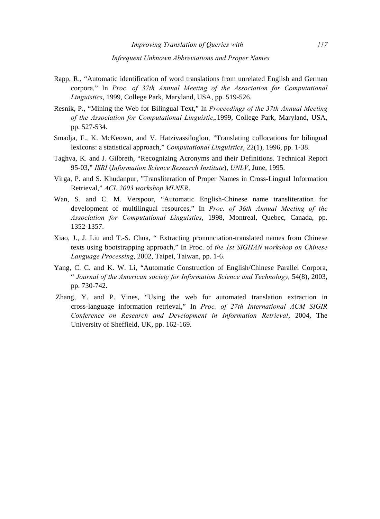- Rapp, R., "Automatic identification of word translations from unrelated English and German corpora," In *Proc. of 37th Annual Meeting of the Association for Computational Linguistics*, 1999, College Park, Maryland, USA, pp. 519-526.
- Resnik, P., "Mining the Web for Bilingual Text," In *Proceedings of the 37th Annual Meeting of the Association for Computational Linguistic*,*.*1999, College Park, Maryland, USA, pp. 527-534.
- Smadja, F., K. McKeown, and V. Hatzivassiloglou, "Translating collocations for bilingual lexicons: a statistical approach," *Computational Linguistics*, 22(1), 1996, pp. 1-38.
- Taghva, K. and J. Gilbreth, "Recognizing Acronyms and their Definitions. Technical Report 95-03," *ISRI* (*Information Science Research Institute*), *UNLV*, June, 1995.
- Virga, P. and S. Khudanpur, "Transliteration of Proper Names in Cross-Lingual Information Retrieval," *ACL 2003 workshop MLNER*.
- Wan, S. and C. M. Verspoor, "Automatic English-Chinese name transliteration for development of multilingual resources," In *Proc. of 36th Annual Meeting of the Association for Computational Linguistics*, 1998, Montreal, Quebec, Canada, pp. 1352-1357.
- Xiao, J., J. Liu and T.-S. Chua, " Extracting pronunciation-translated names from Chinese texts using bootstrapping approach," In Proc. of *the 1st SIGHAN workshop on Chinese Language Processing*, 2002, Taipei, Taiwan, pp. 1-6.
- Yang, C. C. and K. W. Li, "Automatic Construction of English/Chinese Parallel Corpora, " *Journal of the American society for Information Science and Technology*, 54(8), 2003, pp. 730-742.
- Zhang, Y. and P. Vines, "Using the web for automated translation extraction in cross-language information retrieval," In *Proc. of 27th International ACM SIGIR Conference on Research and Development in Information Retrieval*, 2004, The University of Sheffield, UK, pp. 162-169.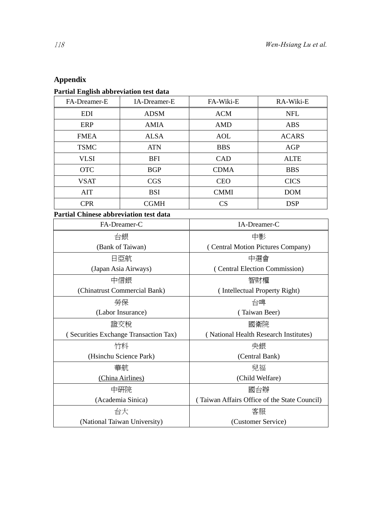# **Appendix**

# **Partial English abbreviation test data**

(National Taiwan University)

| FA-Dreamer-E                                  | IA-Dreamer-E                          | FA-Wiki-E                                    | RA-Wiki-E    |  |  |  |  |
|-----------------------------------------------|---------------------------------------|----------------------------------------------|--------------|--|--|--|--|
| <b>EDI</b>                                    | <b>ADSM</b>                           | <b>ACM</b>                                   | <b>NFL</b>   |  |  |  |  |
| <b>ERP</b>                                    | <b>AMIA</b>                           | <b>AMD</b>                                   | <b>ABS</b>   |  |  |  |  |
| <b>FMEA</b>                                   | <b>ALSA</b>                           | <b>AOL</b>                                   | <b>ACARS</b> |  |  |  |  |
| <b>TSMC</b>                                   | <b>ATN</b>                            | <b>BBS</b>                                   | AGP          |  |  |  |  |
| <b>VLSI</b>                                   | <b>BFI</b>                            | CAD                                          | <b>ALTE</b>  |  |  |  |  |
| <b>OTC</b>                                    | <b>BGP</b>                            | <b>CDMA</b>                                  | <b>BBS</b>   |  |  |  |  |
| <b>VSAT</b>                                   | <b>CGS</b>                            | <b>CEO</b>                                   | <b>CICS</b>  |  |  |  |  |
| AIT                                           | <b>BSI</b>                            | <b>CMMI</b>                                  | <b>DOM</b>   |  |  |  |  |
| <b>CPR</b>                                    | <b>CGMH</b>                           | CS                                           | <b>DSP</b>   |  |  |  |  |
| <b>Partial Chinese abbreviation test data</b> |                                       |                                              |              |  |  |  |  |
|                                               | FA-Dreamer-C                          | IA-Dreamer-C                                 |              |  |  |  |  |
|                                               | 台銀                                    | 中影                                           |              |  |  |  |  |
|                                               | (Bank of Taiwan)                      | (Central Motion Pictures Company)            |              |  |  |  |  |
|                                               | 日亞航                                   | 中選會                                          |              |  |  |  |  |
|                                               | (Japan Asia Airways)                  | (Central Election Commission)                |              |  |  |  |  |
|                                               | 中信銀                                   | 智財權                                          |              |  |  |  |  |
|                                               | (Chinatrust Commercial Bank)          | (Intellectual Property Right)                |              |  |  |  |  |
|                                               | 勞保                                    | 台啤                                           |              |  |  |  |  |
|                                               | (Labor Insurance)                     | (Taiwan Beer)                                |              |  |  |  |  |
|                                               | 證交稅                                   | 國衛院                                          |              |  |  |  |  |
|                                               | (Securities Exchange Transaction Tax) | (National Health Research Institutes)        |              |  |  |  |  |
|                                               | 竹科                                    | 央銀                                           |              |  |  |  |  |
|                                               | (Hsinchu Science Park)                | (Central Bank)                               |              |  |  |  |  |
|                                               | 華航                                    | 兒福                                           |              |  |  |  |  |
|                                               | (China Airlines)                      | (Child Welfare)                              |              |  |  |  |  |
|                                               | 中研院                                   | 國台辦                                          |              |  |  |  |  |
|                                               | (Academia Sinica)                     | (Taiwan Affairs Office of the State Council) |              |  |  |  |  |
|                                               | 台大                                    | 客服                                           |              |  |  |  |  |

(Customer Service)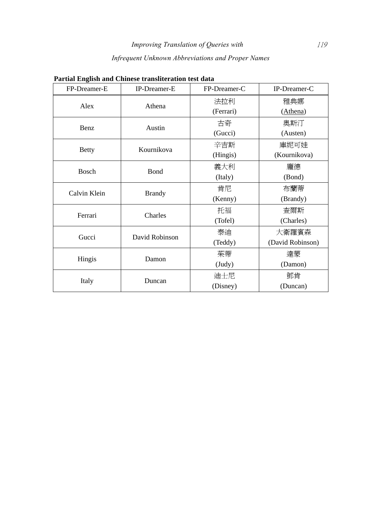# *Infrequent Unknown Abbreviations and Proper Names*

| FP-Dreamer-E | IP-Dreamer-E   | FP-Dreamer-C | IP-Dreamer-C     |
|--------------|----------------|--------------|------------------|
|              | Athena         | 法拉利          | 雅典娜              |
| Alex         |                | (Ferrari)    | (Athena)         |
|              | Austin         | 古奇           | 奧斯汀              |
| Benz         |                | (Gucci)      | (Austen)         |
|              | Kournikova     | 辛吉斯          | 庫妮可娃             |
| <b>Betty</b> |                | (Hingis)     | (Kournikova)     |
| Bosch        | Bond           | 義大利          | 龐德               |
|              |                | (Italy)      | (Bond)           |
| Calvin Klein | <b>Brandy</b>  | 肯尼           | 布蘭蒂              |
|              |                | (Kenny)      | (Brandy)         |
| Ferrari      | Charles        | 托福           | 查爾斯              |
|              |                | (Tofel)      | (Charles)        |
| Gucci        | David Robinson | 泰迪           | 大衛羅賓森            |
|              |                | (Teddy)      | (David Robinson) |
|              | Damon          | 茱蒂           | 達蒙               |
| Hingis       |                | $($ Judy $)$ | (Damon)          |
|              | Duncan         | 迪士尼          | 鄧肯               |
| Italy        |                | (Disney)     | (Duncan)         |

## **Partial English and Chinese transliteration test data**